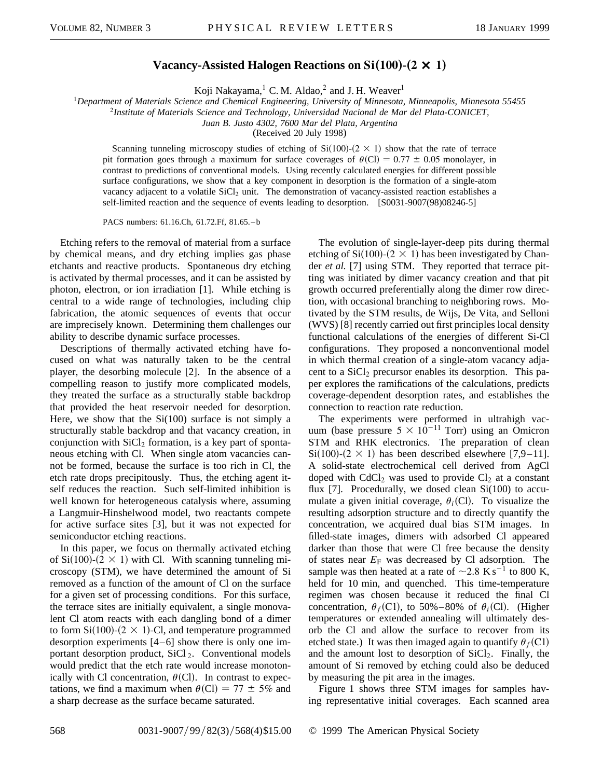## **Vacancy-Assisted Halogen Reactions on Si(100)-(2**  $\times$  **1)**

Koji Nakayama,<sup>1</sup> C. M. Aldao,<sup>2</sup> and J. H. Weaver<sup>1</sup>

<sup>1</sup>*Department of Materials Science and Chemical Engineering, University of Minnesota, Minneapolis, Minnesota 55455*

<sup>2</sup>*Institute of Materials Science and Technology, Universidad Nacional de Mar del Plata-CONICET,*

*Juan B. Justo 4302, 7600 Mar del Plata, Argentina*

(Received 20 July 1998)

Scanning tunneling microscopy studies of etching of  $Si(100)-(2 \times 1)$  show that the rate of terrace pit formation goes through a maximum for surface coverages of  $\theta$ (Cl) = 0.77  $\pm$  0.05 monolayer, in contrast to predictions of conventional models. Using recently calculated energies for different possible surface configurations, we show that a key component in desorption is the formation of a single-atom vacancy adjacent to a volatile SiCl<sub>2</sub> unit. The demonstration of vacancy-assisted reaction establishes a self-limited reaction and the sequence of events leading to desorption. [S0031-9007(98)08246-5]

PACS numbers: 61.16.Ch, 61.72.Ff, 81.65. – b

Etching refers to the removal of material from a surface by chemical means, and dry etching implies gas phase etchants and reactive products. Spontaneous dry etching is activated by thermal processes, and it can be assisted by photon, electron, or ion irradiation [1]. While etching is central to a wide range of technologies, including chip fabrication, the atomic sequences of events that occur are imprecisely known. Determining them challenges our ability to describe dynamic surface processes.

Descriptions of thermally activated etching have focused on what was naturally taken to be the central player, the desorbing molecule [2]. In the absence of a compelling reason to justify more complicated models, they treated the surface as a structurally stable backdrop that provided the heat reservoir needed for desorption. Here, we show that the  $Si(100)$  surface is not simply a structurally stable backdrop and that vacancy creation, in conjunction with  $SiCl<sub>2</sub>$  formation, is a key part of spontaneous etching with Cl. When single atom vacancies cannot be formed, because the surface is too rich in Cl, the etch rate drops precipitously. Thus, the etching agent itself reduces the reaction. Such self-limited inhibition is well known for heterogeneous catalysis where, assuming a Langmuir-Hinshelwood model, two reactants compete for active surface sites [3], but it was not expected for semiconductor etching reactions.

In this paper, we focus on thermally activated etching of Si(100)-(2  $\times$  1) with Cl. With scanning tunneling microscopy (STM), we have determined the amount of Si removed as a function of the amount of Cl on the surface for a given set of processing conditions. For this surface, the terrace sites are initially equivalent, a single monovalent Cl atom reacts with each dangling bond of a dimer to form  $Si(100)-(2 \times 1)$ -Cl, and temperature programmed desorption experiments [4–6] show there is only one important desorption product,  $SiCl_2$ . Conventional models would predict that the etch rate would increase monotonically with Cl concentration,  $\theta$ (Cl). In contrast to expectations, we find a maximum when  $\theta$ (Cl) = 77  $\pm$  5% and a sharp decrease as the surface became saturated.

The evolution of single-layer-deep pits during thermal etching of Si(100)-(2  $\times$  1) has been investigated by Chander *et al.* [7] using STM. They reported that terrace pitting was initiated by dimer vacancy creation and that pit growth occurred preferentially along the dimer row direction, with occasional branching to neighboring rows. Motivated by the STM results, de Wijs, De Vita, and Selloni (WVS) [8] recently carried out first principles local density functional calculations of the energies of different Si-Cl configurations. They proposed a nonconventional model in which thermal creation of a single-atom vacancy adjacent to a  $SiCl<sub>2</sub>$  precursor enables its desorption. This paper explores the ramifications of the calculations, predicts coverage-dependent desorption rates, and establishes the connection to reaction rate reduction.

The experiments were performed in ultrahigh vacuum (base pressure  $5 \times 10^{-11}$  Torr) using an Omicron STM and RHK electronics. The preparation of clean  $Si(100)-(2 \times 1)$  has been described elsewhere [7,9–11]. A solid-state electrochemical cell derived from AgCl doped with  $CdCl<sub>2</sub>$  was used to provide  $Cl<sub>2</sub>$  at a constant flux [7]. Procedurally, we dosed clean Si(100) to accumulate a given initial coverage,  $\theta_i$ (Cl). To visualize the resulting adsorption structure and to directly quantify the concentration, we acquired dual bias STM images. In filled-state images, dimers with adsorbed Cl appeared darker than those that were Cl free because the density of states near  $E_F$  was decreased by Cl adsorption. The sample was then heated at a rate of  $\sim$ 2.8 K s<sup>-1</sup> to 800 K, held for 10 min, and quenched. This time-temperature regimen was chosen because it reduced the final Cl concentration,  $\theta_f$ (C1), to 50%–80% of  $\theta_i$ (C1). (Higher temperatures or extended annealing will ultimately desorb the Cl and allow the surface to recover from its etched state.) It was then imaged again to quantify  $\theta_f(C)$ and the amount lost to desorption of  $SiCl<sub>2</sub>$ . Finally, the amount of Si removed by etching could also be deduced by measuring the pit area in the images.

Figure 1 shows three STM images for samples having representative initial coverages. Each scanned area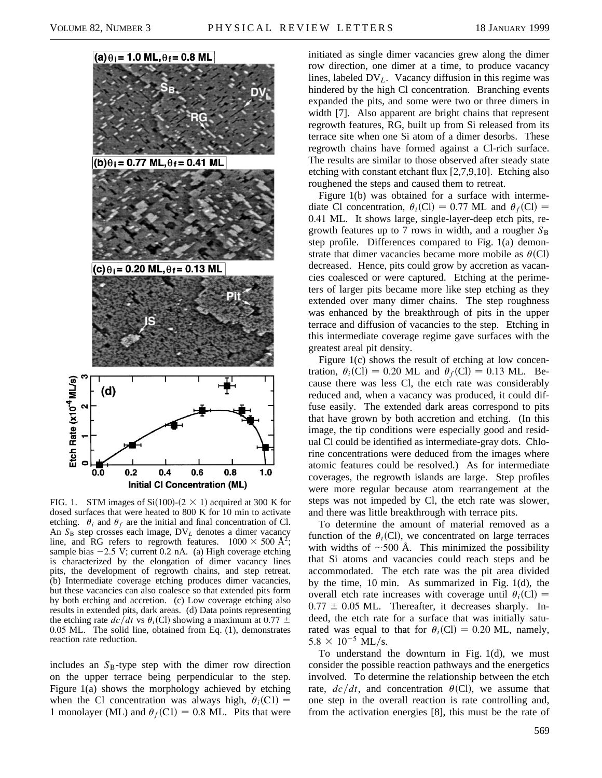

FIG. 1. STM images of Si(100)-( $2 \times 1$ ) acquired at 300 K for dosed surfaces that were heated to 800 K for 10 min to activate etching.  $\theta_i$  and  $\theta_f$  are the initial and final concentration of Cl. An  $S_B$  step crosses each image,  $DV_L$  denotes a dimer vacancy line, and RG refers to regrowth features.  $1000 \times 500 \text{ Å}^2$ ; sample bias  $-2.5$  V; current 0.2 nA. (a) High coverage etching is characterized by the elongation of dimer vacancy lines pits, the development of regrowth chains, and step retreat. (b) Intermediate coverage etching produces dimer vacancies, but these vacancies can also coalesce so that extended pits form by both etching and accretion. (c) Low coverage etching also results in extended pits, dark areas. (d) Data points representing the etching rate  $dc/dt$  vs  $\theta_i$ (Cl) showing a maximum at 0.77  $\pm$ 0.05 ML. The solid line, obtained from Eq. (1), demonstrates reaction rate reduction.

includes an  $S_B$ -type step with the dimer row direction on the upper terrace being perpendicular to the step. Figure 1(a) shows the morphology achieved by etching when the Cl concentration was always high,  $\theta_i(C)$  = 1 monolayer (ML) and  $\theta_f$ (C1) = 0.8 ML. Pits that were

initiated as single dimer vacancies grew along the dimer row direction, one dimer at a time, to produce vacancy lines, labeled DV*L*. Vacancy diffusion in this regime was hindered by the high Cl concentration. Branching events expanded the pits, and some were two or three dimers in width [7]. Also apparent are bright chains that represent regrowth features, RG, built up from Si released from its terrace site when one Si atom of a dimer desorbs. These regrowth chains have formed against a Cl-rich surface. The results are similar to those observed after steady state etching with constant etchant flux [2,7,9,10]. Etching also roughened the steps and caused them to retreat.

Figure 1(b) was obtained for a surface with intermediate Cl concentration,  $\theta_i$ (Cl) = 0.77 ML and  $\theta_f$ (Cl) = 0.41 ML. It shows large, single-layer-deep etch pits, regrowth features up to 7 rows in width, and a rougher  $S_B$ step profile. Differences compared to Fig. 1(a) demonstrate that dimer vacancies became more mobile as  $\theta$ (Cl) decreased. Hence, pits could grow by accretion as vacancies coalesced or were captured. Etching at the perimeters of larger pits became more like step etching as they extended over many dimer chains. The step roughness was enhanced by the breakthrough of pits in the upper terrace and diffusion of vacancies to the step. Etching in this intermediate coverage regime gave surfaces with the greatest areal pit density.

Figure 1(c) shows the result of etching at low concentration,  $\theta_i$ (Cl) = 0.20 ML and  $\theta_f$ (Cl) = 0.13 ML. Because there was less Cl, the etch rate was considerably reduced and, when a vacancy was produced, it could diffuse easily. The extended dark areas correspond to pits that have grown by both accretion and etching. (In this image, the tip conditions were especially good and residual Cl could be identified as intermediate-gray dots. Chlorine concentrations were deduced from the images where atomic features could be resolved.) As for intermediate coverages, the regrowth islands are large. Step profiles were more regular because atom rearrangement at the steps was not impeded by Cl, the etch rate was slower, and there was little breakthrough with terrace pits.

To determine the amount of material removed as a function of the  $\theta_i$ (Cl), we concentrated on large terraces with widths of  $\sim$ 500 Å. This minimized the possibility that Si atoms and vacancies could reach steps and be accommodated. The etch rate was the pit area divided by the time, 10 min. As summarized in Fig. 1(d), the overall etch rate increases with coverage until  $\theta_i$ (Cl) =  $0.77 \pm 0.05$  ML. Thereafter, it decreases sharply. Indeed, the etch rate for a surface that was initially saturated was equal to that for  $\theta_i$ (Cl) = 0.20 ML, namely,  $5.8 \times 10^{-5}$  ML/s.

To understand the downturn in Fig. 1(d), we must consider the possible reaction pathways and the energetics involved. To determine the relationship between the etch rate,  $dc/dt$ , and concentration  $\theta$ (Cl), we assume that one step in the overall reaction is rate controlling and, from the activation energies [8], this must be the rate of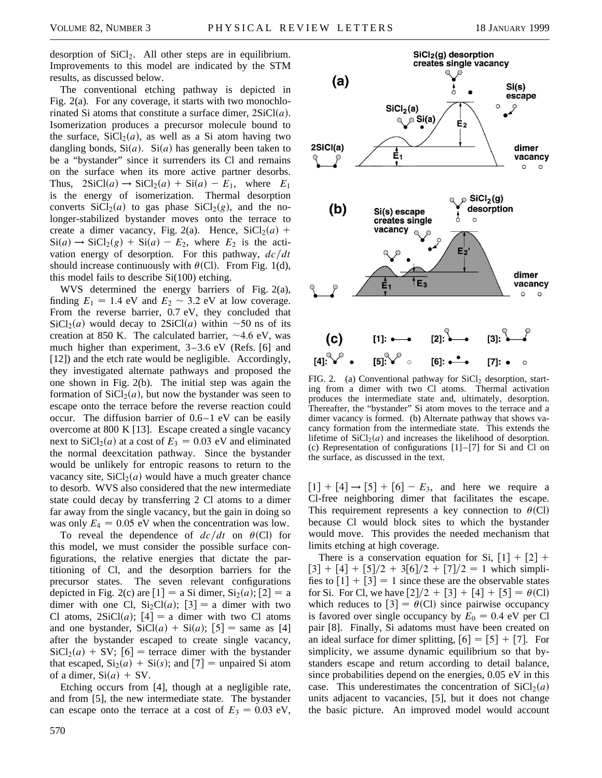desorption of  $SiCl<sub>2</sub>$ . All other steps are in equilibrium. Improvements to this model are indicated by the STM results, as discussed below.

The conventional etching pathway is depicted in Fig. 2(a). For any coverage, it starts with two monochlorinated Si atoms that constitute a surface dimer,  $2SiCl(a)$ . Isomerization produces a precursor molecule bound to the surface,  $SiCl<sub>2</sub>(a)$ , as well as a Si atom having two dangling bonds,  $Si(a)$ .  $Si(a)$  has generally been taken to be a "bystander" since it surrenders its Cl and remains on the surface when its more active partner desorbs. Thus,  $2\text{SiCl}(a) \rightarrow \text{SiCl}_2(a) + \text{Si}(a) - E_1$ , where  $E_1$ is the energy of isomerization. Thermal desorption converts  $SiCl<sub>2</sub>(a)$  to gas phase  $SiCl<sub>2</sub>(g)$ , and the nolonger-stabilized bystander moves onto the terrace to create a dimer vacancy, Fig. 2(a). Hence,  $SiCl<sub>2</sub>(a)$  +  $Si(a) \rightarrow SiCl<sub>2</sub>(g) + Si(a) - E<sub>2</sub>$ , where  $E<sub>2</sub>$  is the activation energy of desorption. For this pathway,  $dc/dt$ should increase continuously with  $\theta$ (Cl). From Fig. 1(d), this model fails to describe Si(100) etching.

WVS determined the energy barriers of Fig. 2(a), finding  $E_1 = 1.4$  eV and  $E_2 \sim 3.2$  eV at low coverage. From the reverse barrier, 0.7 eV, they concluded that  $SiCl<sub>2</sub>(a)$  would decay to  $2SiCl(a)$  within  $\sim$ 50 ns of its creation at 850 K. The calculated barrier,  $\sim$ 4.6 eV, was much higher than experiment, 3–3.6 eV (Refs. [6] and [12]) and the etch rate would be negligible. Accordingly, they investigated alternate pathways and proposed the one shown in Fig. 2(b). The initial step was again the formation of  $SiCl<sub>2</sub>(a)$ , but now the bystander was seen to escape onto the terrace before the reverse reaction could occur. The diffusion barrier of 0.6–1 eV can be easily overcome at 800 K [13]. Escape created a single vacancy next to  $SiCl<sub>2</sub>(a)$  at a cost of  $E<sub>3</sub> = 0.03$  eV and eliminated the normal deexcitation pathway. Since the bystander would be unlikely for entropic reasons to return to the vacancy site,  $SiCl<sub>2</sub>(a)$  would have a much greater chance to desorb. WVS also considered that the new intermediate state could decay by transferring 2 Cl atoms to a dimer far away from the single vacancy, but the gain in doing so was only  $E_4 = 0.05$  eV when the concentration was low.

To reveal the dependence of  $dc/dt$  on  $\theta$ (Cl) for this model, we must consider the possible surface configurations, the relative energies that dictate the partitioning of Cl, and the desorption barriers for the precursor states. The seven relevant configurations depicted in Fig. 2(c) are  $[1] =$  a Si dimer,  $Si<sub>2</sub>(a)$ ;  $[2] =$  a dimer with one Cl,  $Si<sub>2</sub>Cl(a)$ ; [3] = a dimer with two Cl atoms,  $2SiCl(a)$ ;  $[4] = a$  dimer with two Cl atoms and one bystander,  $SiCl(a) + Si(a); [5] = same as [4]$ after the bystander escaped to create single vacancy,  $\text{SiCl}_2(a) + \text{SV}$ ; [6] = terrace dimer with the bystander that escaped,  $Si<sub>2</sub>(a) + Si(s)$ ; and  $[7]$  = unpaired Si atom of a dimer,  $Si(a) + SV$ .

Etching occurs from [4], though at a negligible rate, and from [5], the new intermediate state. The bystander can escape onto the terrace at a cost of  $E_3 = 0.03$  eV,



FIG. 2. (a) Conventional pathway for SiCl<sub>2</sub> desorption, starting from a dimer with two Cl atoms. Thermal activation produces the intermediate state and, ultimately, desorption. Thereafter, the "bystander" Si atom moves to the terrace and a dimer vacancy is formed. (b) Alternate pathway that shows vacancy formation from the intermediate state. This extends the lifetime of  $SiCl<sub>2</sub>(a)$  and increases the likelihood of desorption. (c) Representation of configurations  $[1]$ - $[7]$  for Si and Cl on the surface, as discussed in the text.

 $[1] + [4] \rightarrow [5] + [6] - E_3$ , and here we require a Cl-free neighboring dimer that facilitates the escape. This requirement represents a key connection to  $\theta$ (Cl) because Cl would block sites to which the bystander would move. This provides the needed mechanism that limits etching at high coverage.

There is a conservation equation for Si,  $[1] + [2] +$  $\lceil 3 \rceil + \lceil 4 \rceil + \lceil 5 \rceil / 2 + 3 \lceil 6 \rceil / 2 + \lceil 7 \rceil / 2 = 1$  which simplifies to  $\lceil 1 \rceil + \lceil 3 \rceil = 1$  since these are the observable states for Si. For Cl, we have  $[2]/2 + [3] + [4] + [5] = \theta$ (Cl) which reduces to  $[3] = \theta$ (Cl) since pairwise occupancy is favored over single occupancy by  $E_0 = 0.4$  eV per Cl pair [8]. Finally, Si adatoms must have been created on an ideal surface for dimer splitting,  $[6] = [5] + [7]$ . For simplicity, we assume dynamic equilibrium so that bystanders escape and return according to detail balance, since probabilities depend on the energies, 0.05 eV in this case. This underestimates the concentration of  $SiCl<sub>2</sub>(a)$ units adjacent to vacancies, [5], but it does not change the basic picture. An improved model would account